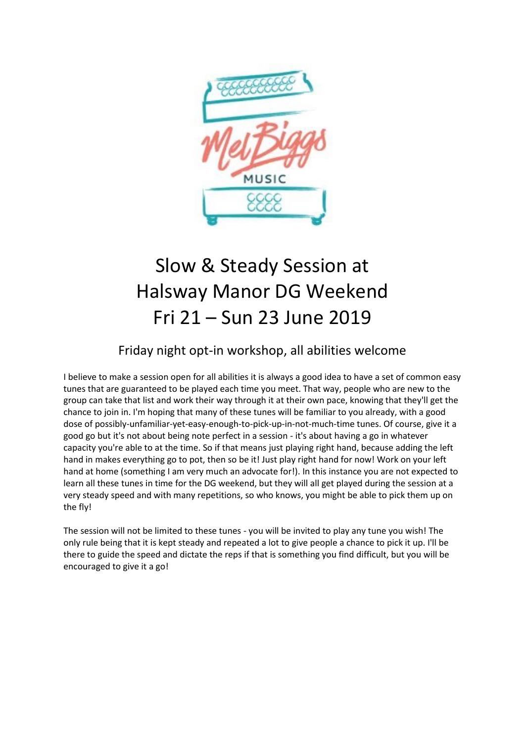

## Slow & Steady Session at Halsway Manor DG Weekend Fri 21 – Sun 23 June 2019

## Friday night opt-in workshop, all abilities welcome

I believe to make a session open for all abilities it is always a good idea to have a set of common easy tunes that are guaranteed to be played each time you meet. That way, people who are new to the group can take that list and work their way through it at their own pace, knowing that they'll get the chance to join in. I'm hoping that many of these tunes will be familiar to you already, with a good dose of possibly-unfamiliar-yet-easy-enough-to-pick-up-in-not-much-time tunes. Of course, give it a good go but it's not about being note perfect in a session - it's about having a go in whatever capacity you're able to at the time. So if that means just playing right hand, because adding the left hand in makes everything go to pot, then so be it! Just play right hand for now! Work on your left hand at home (something I am very much an advocate for!). In this instance you are not expected to learn all these tunes in time for the DG weekend, but they will all get played during the session at a very steady speed and with many repetitions, so who knows, you might be able to pick them up on the fly!

The session will not be limited to these tunes - you will be invited to play any tune you wish! The only rule being that it is kept steady and repeated a lot to give people a chance to pick it up. I'll be there to guide the speed and dictate the reps if that is something you find difficult, but you will be encouraged to give it a go!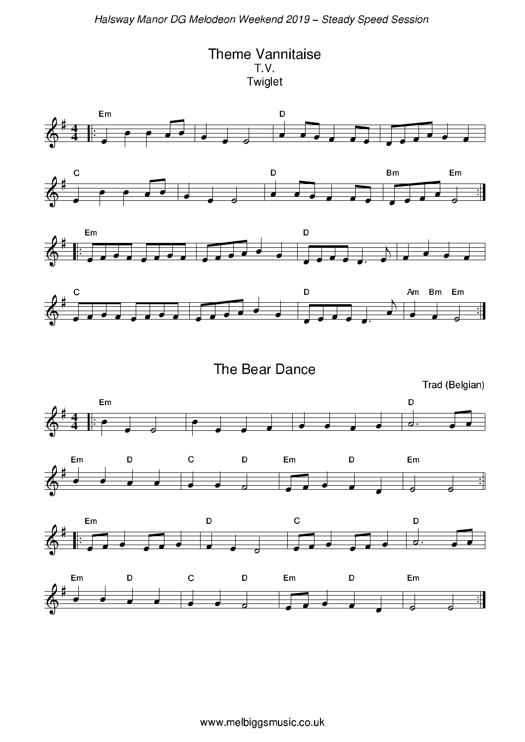**Theme Vannitaise** T.V. Twiglet









The Bear Dance

Trad (Belgian)



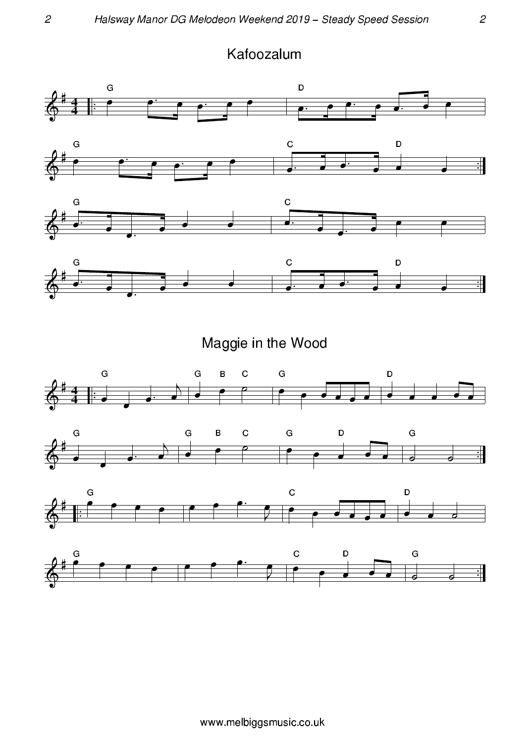



Maggie in the Wood





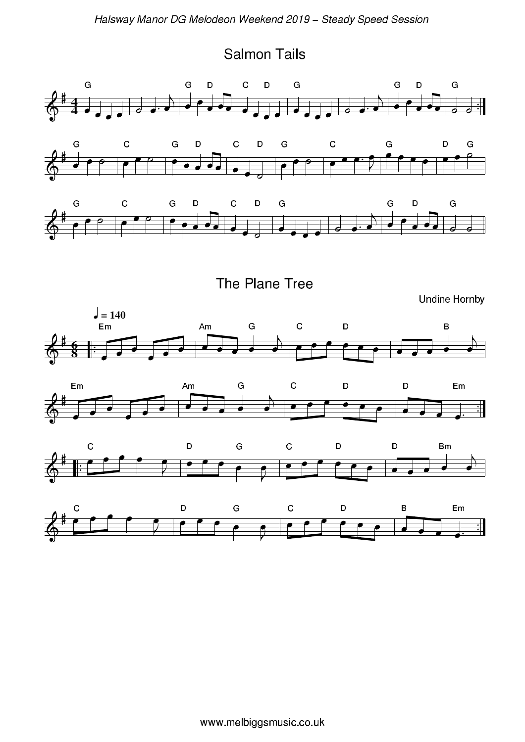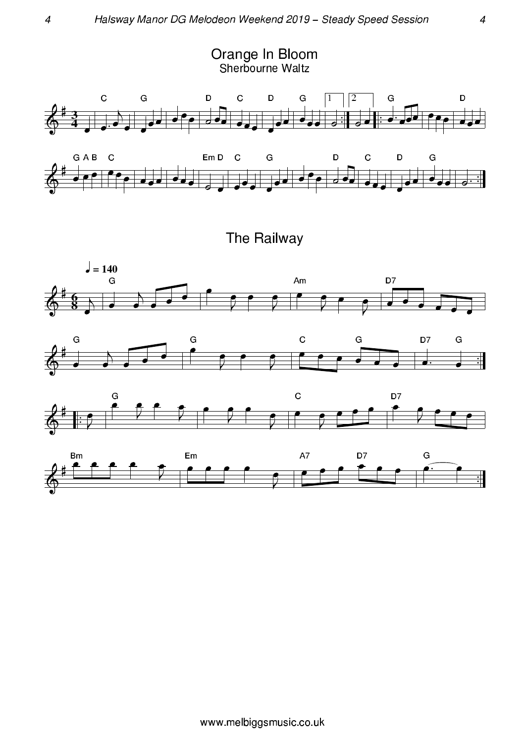

The Railway







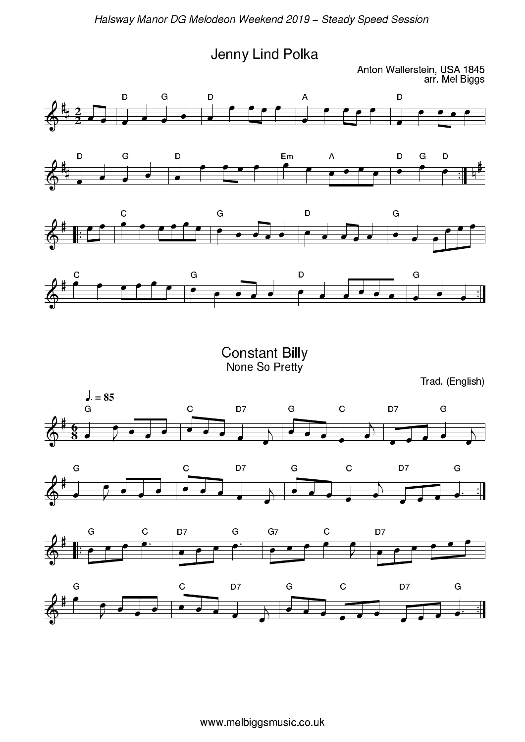Jenny Lind Polka

Anton Wallerstein, USA 1845<br>arr. Mel Biggs